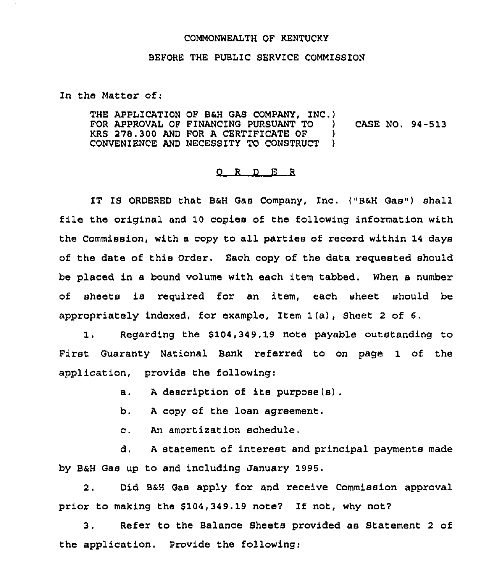## COMMONWEALTH OF KENTUCKY

## BEFORE THE PUBLIC SERVICE COMMISSION

In the Matter of:

THE APPLICATION OF B&H GAS COMPANY, INC.) FOR APPROVAL OF FINANCING PURSUANT TO ) CASE NO. 94-513 KRS 278.300 AND FOR <sup>A</sup> CERTIFICATE OF ) CONVENIENCE AND NECESSITY TO CONSTRUCT )

## 0 <sup>R</sup> <sup>D</sup> E <sup>R</sup>

IT IS ORDERED that B&H Gas Company, Inc. ("B&H Gas") shall file the original and 10 copies of the following information with the Commission, with a copy to all parties of record within 14 days of the date of this Order. Each copy of the data requested should be placed in a bound volume with each item tabbed, When a number of sheets is required for an item, each sheet should be appropriately indexed, for example, Item 1(a), Sheet <sup>2</sup> of 6.

1. Regarding the \$104,349.19 note payable outstanding to First Guaranty National Bank referred to on page 1 of the application, provide the following:

a. <sup>A</sup> description of its purpose (s) .

b. <sup>A</sup> copy of the loan agreement.

c. An amortization schedule,

d. <sup>A</sup> statement of interest and principal payments made by B&H Gas up to and including January 1995.

2. Did B&H Gas apply for and receive Commission approval prior to making the  $$104,349.19$  note? If not, why not?

3. Refer to the Balance Sheets provided as Statement <sup>2</sup> of the application. Provide the following: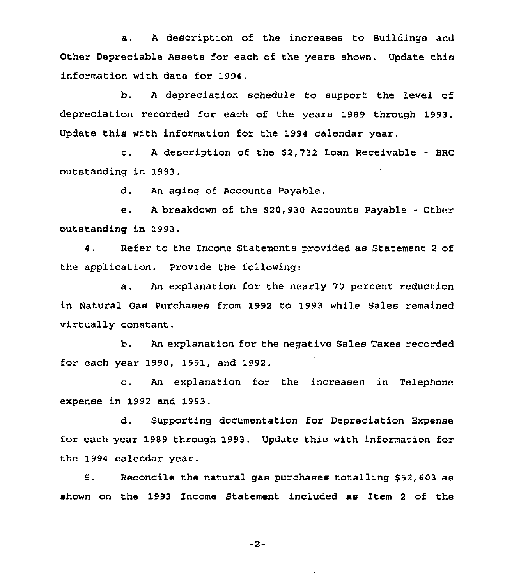a. <sup>A</sup> description of the increases to Buildings and Other Depreciable Assets for each of the years shown. Update this information with data for 1994.

b. <sup>A</sup> depreciation schedule to support the level of depreciation recorded for each of the years 1989 through 1993. Update this with information for the 1994 calendar year.

c. <sup>A</sup> description of the \$2,732 Loan Receivable - BRC outstanding in 1993.

d. An aging of Accounts Payable.

e. <sup>A</sup> breakdown of the \$20,930 Accounts Payable - Other outstanding in 1993.

4. Refer to the Income Statements provided as Statement <sup>2</sup> of the application. Provide the following:

a. An explanation for the nearly 70 percent reduction in Natural Gas Purchases from 1992 to 1993 while Sales remained virtually constant.

b. An explanation for the negative Sales Taxes recorded for each year 1990, 1991, and 1992.

c. An explanation for the increases in Telephone expense in 1992 and 1993,

d. Supporting documentation for Depreciation Expense for each year 1989 through 1993. Update this with information for the 1994 calendar year.

5. Reconcile the natural gas purchases totalling \$52,603 as shown on the 1993 Income Statement included as Item <sup>2</sup> of the

 $-2-$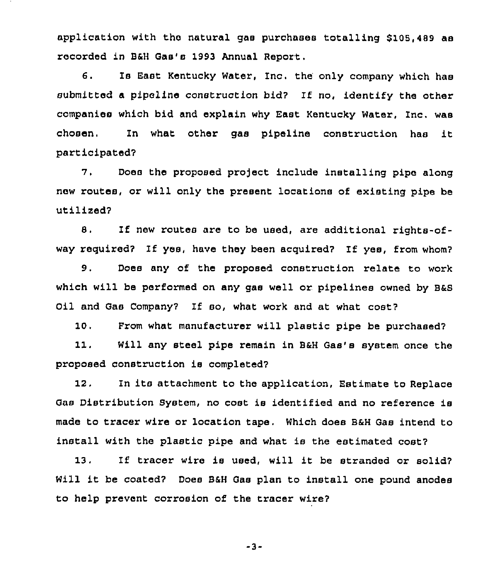application with the natural gas purchases totalling \$108,489 as recorded in B6H Gas's 1993 Annual Report.

6. Is East Kentucky Water, Inc, the only company which has submitted <sup>a</sup> pipeline construction bid? If no, identify the other companies which bid and explain why East Kentucky water, Inc, was chosen. In what other gas pipeline construction has it participated?

?. Does the proposed pro)ect include installing pipe along new routes, or will only the present locations of existing pipe be utilized?

8. If new routes are to be used, are additional rights-ofway required? lf yes, have they been acquired? If yes, from whom'?

9. Does any of the proposed construction relate to work which will be performed on any gas well or pipelines owned by B&S Oil and Gas Company? If so, what work and at what cost'?

10. From what manufacturer will plastic pipe be purchased'?

11, Will any steel pipe remain in B&H Gas's system once the proposed construction is completed?

12. In its attachment to the application, Estimate to Replace Gas Distribution System, no cost is identified and no reference is made to tracer wire or location tape. Which does B6H Gas intend to install with the plastic pipe and what is the estimated cost?

13, If tracer wire is used, will it be stranded or solid7 Will it be coated? Does B&H Gas plan to install one pound anodes to help prevent corrosion of the tracer wire?

-3-